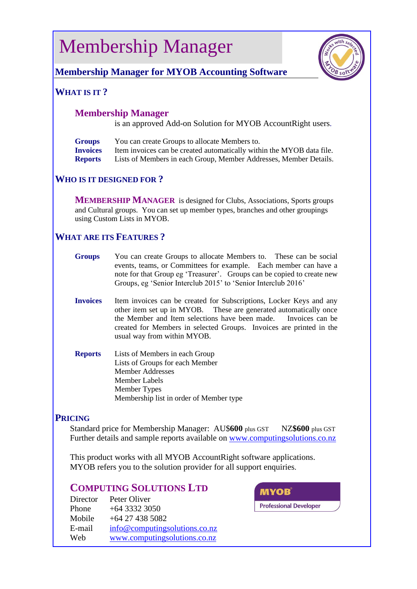# Membership Manager



# **Membership Manager for MYOB Accounting Software**

# **WHAT IS IT ?**

#### **Membership Manager**

is an approved Add-on Solution for MYOB AccountRight users.

| Groups          | You can create Groups to allocate Members to.                         |
|-----------------|-----------------------------------------------------------------------|
| <b>Invoices</b> | Item invoices can be created automatically within the MYOB data file. |
| <b>Reports</b>  | Lists of Members in each Group, Member Addresses, Member Details.     |

### **WHO IS IT DESIGNED FOR ?**

**MEMBERSHIP MANAGER** is designed for Clubs, Associations, Sports groups and Cultural groups. You can set up member types, branches and other groupings using Custom Lists in MYOB.

#### **WHAT ARE ITS FEATURES ?**

- **Groups** You can create Groups to allocate Members to. These can be social events, teams, or Committees for example. Each member can have a note for that Group eg 'Treasurer'. Groups can be copied to create new Groups, eg 'Senior Interclub 2015' to 'Senior Interclub 2016'
- **Invoices** Item invoices can be created for Subscriptions, Locker Keys and any other item set up in MYOB. These are generated automatically once the Member and Item selections have been made. Invoices can be created for Members in selected Groups. Invoices are printed in the usual way from within MYOB.
- **Reports** Lists of Members in each Group Lists of Groups for each Member Member Addresses Member Labels Member Types Membership list in order of Member type

#### **PRICING**

Standard price for Membership Manager: AU\$600 plus GST NZ\$600 plus GST Further details and sample reports available on [www.computingsolutions.co.nz](http://www.computingsolutions.co.nz/)

This product works with all MYOB AccountRight software applications. MYOB refers you to the solution provider for all support enquiries.

# **COMPUTING SOLUTIONS LTD**

| Director | Peter Oliver                   |
|----------|--------------------------------|
| Phone    | $+6433323050$                  |
| Mobile   | $+64$ 27 438 5082              |
| E-mail   | info@computing solutions.co.nz |
| Web      | www.computingsolutions.co.nz   |
|          |                                |

| <b>MYOR</b>                   |  |
|-------------------------------|--|
| <b>Professional Developer</b> |  |